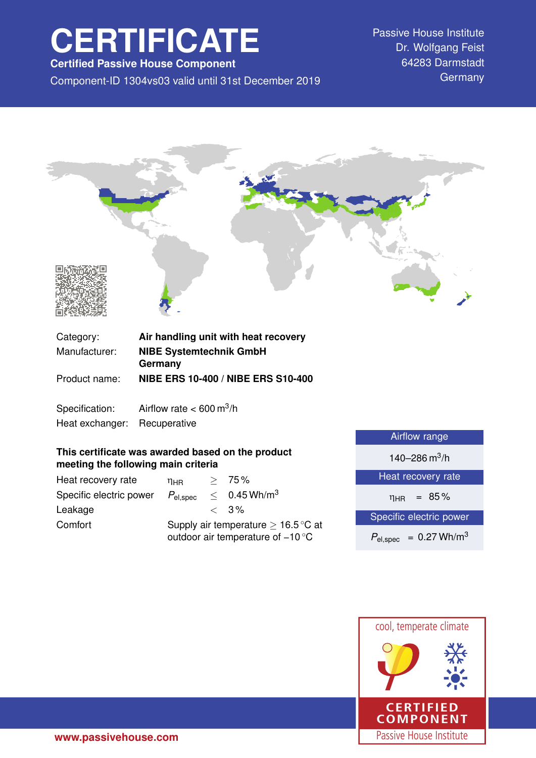# **CERTIFICATE**

**Certified Passive House Component**

Component-ID 1304vs03 valid until 31st December 2019 Germany

Passive House Institute Dr. Wolfgang Feist 64283 Darmstadt



| Category:     | Air handling unit with heat recovery      |
|---------------|-------------------------------------------|
| Manufacturer: | <b>NIBE Systemtechnik GmbH</b>            |
|               | Germany                                   |
| Product name: | <b>NIBE ERS 10-400 / NIBE ERS S10-400</b> |

Specification: Airflow rate  $< 600 \text{ m}^3/\text{h}$ Heat exchanger: Recuperative

## **This certificate was awarded based on the product meeting the following main criteria**

| Heat recovery rate      | ηнв                                                                                           |  | > 75%                         |
|-------------------------|-----------------------------------------------------------------------------------------------|--|-------------------------------|
| Specific electric power | $P_{el,spec}$                                                                                 |  | $\leq 0.45$ Wh/m <sup>3</sup> |
| Leakage                 |                                                                                               |  | $\langle 3\%$                 |
| Comfort                 | Supply air temperature $\geq 16.5^{\circ}$ C at<br>outdoor air temperature of $-10^{\circ}$ C |  |                               |

| Airflow range                          |  |
|----------------------------------------|--|
| 140–286 $\mathrm{m}^3$ /h              |  |
| Heat recovery rate                     |  |
| $= 85\%$<br>$\eta_{HR}$                |  |
| Specific electric power                |  |
| $P_{el,spec}$ = 0.27 Wh/m <sup>3</sup> |  |
|                                        |  |

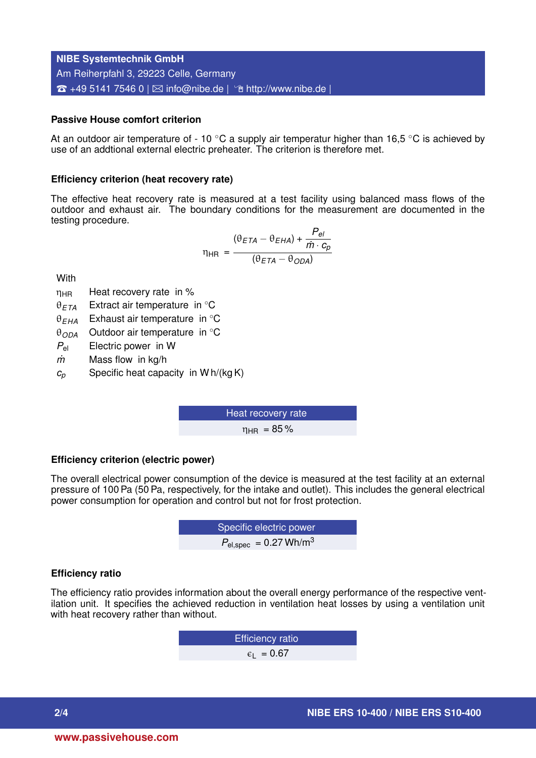**NIBE Systemtechnik GmbH** Am Reiherpfahl 3, 29223 Celle, Germany  $\hat{z}$  +49 5141 7546 0 |  $\boxtimes$  [info@nibe.de](mailto:info@nibe.de) |  $\hat{z}$  <http://www.nibe.de> |

## **Passive House comfort criterion**

At an outdoor air temperature of - 10  $\degree$ C a supply air temperatur higher than 16,5  $\degree$ C is achieved by use of an addtional external electric preheater. The criterion is therefore met.

#### **Efficiency criterion (heat recovery rate)**

The effective heat recovery rate is measured at a test facility using balanced mass flows of the outdoor and exhaust air. The boundary conditions for the measurement are documented in the testing procedure.

$$
\eta_{HR} = \frac{(\theta_{ETA} - \theta_{EHA}) + \frac{P_{el}}{\dot{m} \cdot c_p}}{(\theta_{ETA} - \theta_{ODA})}
$$

**With** 

- $\eta_{HR}$  Heat recovery rate in %
- θ*ETA* Extract air temperature in ◦C
- θ*EHA* Exhaust air temperature in ◦C
- θ*ODA* Outdoor air temperature in ◦C
- *P*el Electric power in W
- *m˙* Mass flow in kg/h
- $c_p$  Specific heat capacity in W h/(kg K)

Heat recovery rate  $n_{\text{HR}} = 85\%$ 

## **Efficiency criterion (electric power)**

The overall electrical power consumption of the device is measured at the test facility at an external pressure of 100 Pa (50 Pa, respectively, for the intake and outlet). This includes the general electrical power consumption for operation and control but not for frost protection.

**EXECUTE:** Specific electric power  

$$
P_{\text{el,spec}} = 0.27 \text{ Wh/m}^3
$$

## **Efficiency ratio**

The efficiency ratio provides information about the overall energy performance of the respective ventilation unit. It specifies the achieved reduction in ventilation heat losses by using a ventilation unit with heat recovery rather than without.

> Efficiency ratio  $\epsilon_1$  = 0.67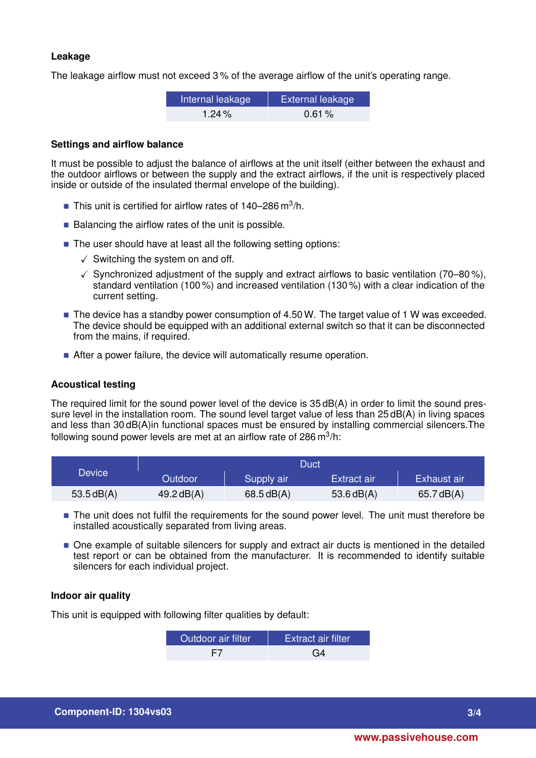## **Leakage**

The leakage airflow must not exceed 3 % of the average airflow of the unit's operating range.

| Internal leakage | <b>External leakage</b> |
|------------------|-------------------------|
| 1.24 $%$         | 0.61%                   |

## **Settings and airflow balance**

It must be possible to adjust the balance of airflows at the unit itself (either between the exhaust and the outdoor airflows or between the supply and the extract airflows, if the unit is respectively placed inside or outside of the insulated thermal envelope of the building).

- This unit is certified for airflow rates of  $140-286 \text{ m}^3/\text{h}$ .
- $\blacksquare$  Balancing the airflow rates of the unit is possible.
- The user should have at least all the following setting options:
	- $\checkmark$  Switching the system on and off.
	- $\checkmark$  Synchronized adjustment of the supply and extract airflows to basic ventilation (70–80%), standard ventilation (100 %) and increased ventilation (130 %) with a clear indication of the current setting.
- $\blacksquare$  The device has a standby power consumption of 4.50 W. The target value of 1 W was exceeded. The device should be equipped with an additional external switch so that it can be disconnected from the mains, if required.
- After a power failure, the device will automatically resume operation.

## **Acoustical testing**

The required limit for the sound power level of the device is 35 dB(A) in order to limit the sound pressure level in the installation room. The sound level target value of less than 25 dB(A) in living spaces and less than 30 dB(A)in functional spaces must be ensured by installing commercial silencers.The following sound power levels are met at an airflow rate of 286 m $^3$ /h:

|           | Duct           |            |              |              |
|-----------|----------------|------------|--------------|--------------|
| Device    | <b>Outdoor</b> | Supply air | Extract air  | Exhaust air  |
| 53.5dB(A) | 49.2 $dB(A)$   | 68.5dB(A)  | 53.6 $dB(A)$ | 65.7 $dB(A)$ |

- The unit does not fulfil the requirements for the sound power level. The unit must therefore be installed acoustically separated from living areas.
- $\blacksquare$  One example of suitable silencers for supply and extract air ducts is mentioned in the detailed test report or can be obtained from the manufacturer. It is recommended to identify suitable silencers for each individual project.

## **Indoor air quality**

This unit is equipped with following filter qualities by default:

| Outdoor air filter | Extract air filter |
|--------------------|--------------------|
| F7                 | G4                 |